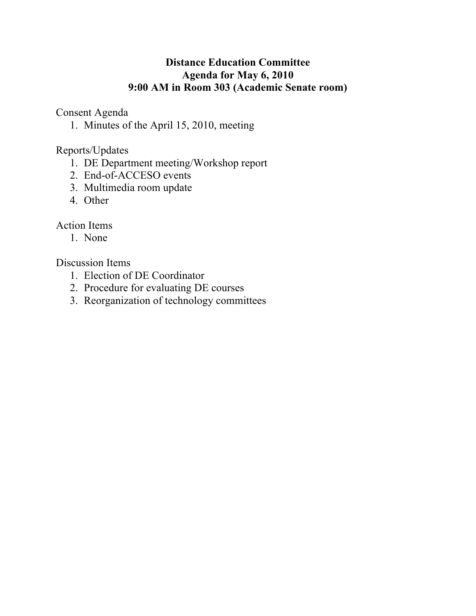## **Distance Education Committee Agenda for May 6, 2010 9:00 AM in Room 303 (Academic Senate room)**

Consent Agenda

1. Minutes of the April 15, 2010, meeting

Reports/Updates

- 1. DE Department meeting/Workshop report
- 2. End-of-ACCESO events
- 3. Multimedia room update
- 4. Other

# Action Items

1. None

# Discussion Items

- 1. Election of DE Coordinator
- 2. Procedure for evaluating DE courses
- 3. Reorganization of technology committees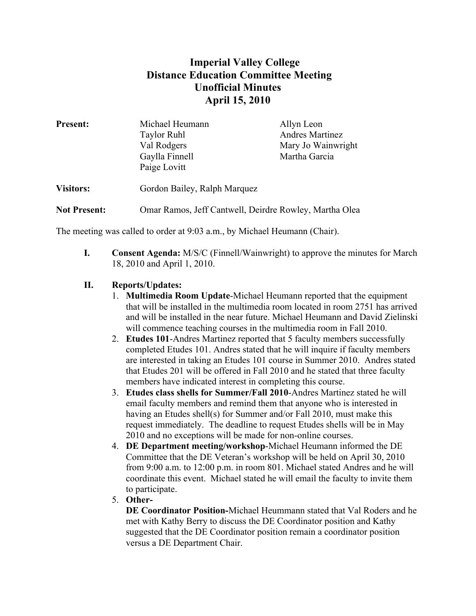### **Imperial Valley College Distance Education Committee Meeting Unofficial Minutes April 15, 2010**

| <b>Present:</b>     | Michael Heumann<br><b>Taylor Ruhl</b><br>Val Rodgers<br>Gaylla Finnell<br>Paige Lovitt | Allyn Leon<br><b>Andres Martinez</b><br>Mary Jo Wainwright<br>Martha Garcia |
|---------------------|----------------------------------------------------------------------------------------|-----------------------------------------------------------------------------|
| <b>Visitors:</b>    | Gordon Bailey, Ralph Marquez                                                           |                                                                             |
| <b>Not Present:</b> | Omar Ramos, Jeff Cantwell, Deirdre Rowley, Martha Olea                                 |                                                                             |

The meeting was called to order at 9:03 a.m., by Michael Heumann (Chair).

**I. Consent Agenda:** M/S/C (Finnell/Wainwright) to approve the minutes for March 18, 2010 and April 1, 2010.

### **II. Reports/Updates:**

- 1. **Multimedia Room Update**-Michael Heumann reported that the equipment that will be installed in the multimedia room located in room 2751 has arrived and will be installed in the near future. Michael Heumann and David Zielinski will commence teaching courses in the multimedia room in Fall 2010.
- 2. **Etudes 101**-Andres Martinez reported that 5 faculty members successfully completed Etudes 101. Andres stated that he will inquire if faculty members are interested in taking an Etudes 101 course in Summer 2010. Andres stated that Etudes 201 will be offered in Fall 2010 and he stated that three faculty members have indicated interest in completing this course.
- 3. **Etudes class shells for Summer/Fall 2010**-Andres Martinez stated he will email faculty members and remind them that anyone who is interested in having an Etudes shell(s) for Summer and/or Fall 2010, must make this request immediately. The deadline to request Etudes shells will be in May 2010 and no exceptions will be made for non-online courses.
- 4. **DE Department meeting/workshop**-Michael Heumann informed the DE Committee that the DE Veteran's workshop will be held on April 30, 2010 from 9:00 a.m. to 12:00 p.m. in room 801. Michael stated Andres and he will coordinate this event. Michael stated he will email the faculty to invite them to participate.
- 5. **Other-**

**DE Coordinator Position-**Michael Heummann stated that Val Roders and he met with Kathy Berry to discuss the DE Coordinator position and Kathy suggested that the DE Coordinator position remain a coordinator position versus a DE Department Chair.